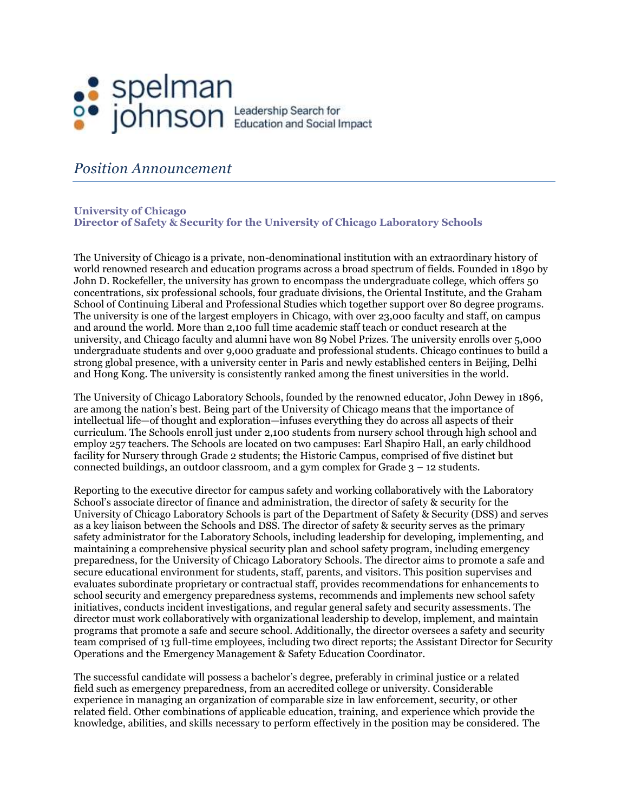## Spelman<br>
Spelmson<br>
Spelmson<br>
Spearch for Education and Social Impact

## *Position Announcement*

## **University of Chicago Director of Safety & Security for the University of Chicago Laboratory Schools**

The University of Chicago is a private, non-denominational institution with an extraordinary history of world renowned research and education programs across a broad spectrum of fields. Founded in 1890 by John D. Rockefeller, the university has grown to encompass the undergraduate college, which offers 50 concentrations, six professional schools, four graduate divisions, the Oriental Institute, and the Graham School of Continuing Liberal and Professional Studies which together support over 80 degree programs. The university is one of the largest employers in Chicago, with over 23,000 faculty and staff, on campus and around the world. More than 2,100 full time academic staff teach or conduct research at the university, and Chicago faculty and alumni have won 89 Nobel Prizes. The university enrolls over 5,000 undergraduate students and over 9,000 graduate and professional students. Chicago continues to build a strong global presence, with a university center in Paris and newly established centers in Beijing, Delhi and Hong Kong. The university is consistently ranked among the finest universities in the world.

The University of Chicago Laboratory Schools, founded by the renowned educator, John Dewey in 1896, are among the nation's best. Being part of the University of Chicago means that the importance of intellectual life—of thought and exploration—infuses everything they do across all aspects of their curriculum. The Schools enroll just under 2,100 students from nursery school through high school and employ 257 teachers. The Schools are located on two campuses: Earl Shapiro Hall, an early childhood facility for Nursery through Grade 2 students; the Historic Campus, comprised of five distinct but connected buildings, an outdoor classroom, and a gym complex for Grade 3 – 12 students.

Reporting to the executive director for campus safety and working collaboratively with the Laboratory School's associate director of finance and administration, the director of safety & security for the University of Chicago Laboratory Schools is part of the Department of Safety & Security (DSS) and serves as a key liaison between the Schools and DSS. The director of safety & security serves as the primary safety administrator for the Laboratory Schools, including leadership for developing, implementing, and maintaining a comprehensive physical security plan and school safety program, including emergency preparedness, for the University of Chicago Laboratory Schools. The director aims to promote a safe and secure educational environment for students, staff, parents, and visitors. This position supervises and evaluates subordinate proprietary or contractual staff, provides recommendations for enhancements to school security and emergency preparedness systems, recommends and implements new school safety initiatives, conducts incident investigations, and regular general safety and security assessments. The director must work collaboratively with organizational leadership to develop, implement, and maintain programs that promote a safe and secure school. Additionally, the director oversees a safety and security team comprised of 13 full-time employees, including two direct reports; the Assistant Director for Security Operations and the Emergency Management & Safety Education Coordinator.

The successful candidate will possess a bachelor's degree, preferably in criminal justice or a related field such as emergency preparedness, from an accredited college or university. Considerable experience in managing an organization of comparable size in law enforcement, security, or other related field. Other combinations of applicable education, training, and experience which provide the knowledge, abilities, and skills necessary to perform effectively in the position may be considered. The